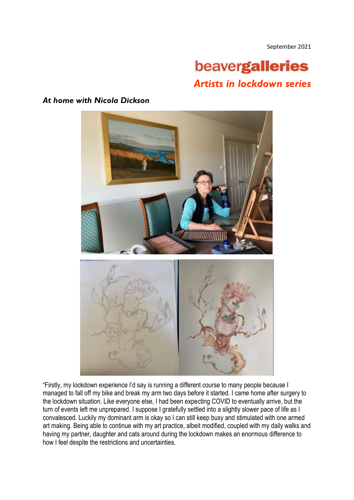September 2021

## beavergalleries *Artists in lockdown series*

## *At home with Nicola Dickson*



"Firstly, my lockdown experience I'd say is running a different course to many people because I managed to fall off my bike and break my arm two days before it started. I came home after surgery to the lockdown situation. Like everyone else, I had been expecting COVID to eventually arrive, but the turn of events left me unprepared. I suppose I gratefully settled into a slightly slower pace of life as I convalesced. Luckily my dominant arm is okay so I can still keep busy and stimulated with one armed art making. Being able to continue with my art practice, albeit modified, coupled with my daily walks and having my partner, daughter and cats around during the lockdown makes an enormous difference to how I feel despite the restrictions and uncertainties.